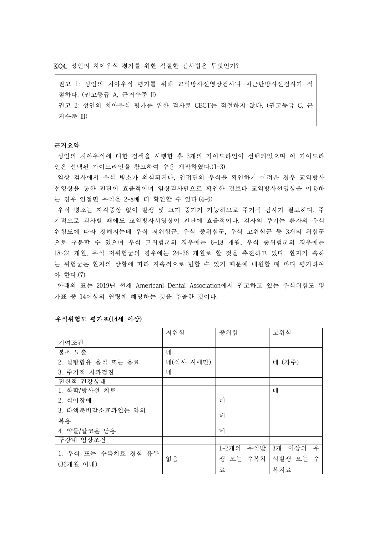KQ4. 성인의 치아우식 평가를 위한 적절한 검사법은 무엇인가?

권고 1: 성인의 치아우식 평가를 위해 교익방사선영상검사나 치근단방사선검사가 적 절하다. (권고등급 A, 근거수준 II) 권고 2: 성인의 치아우식 평가를 위한 검사로 CBCT는 적절하지 않다. (권고등급 C, 근 거수준 III)

## 근거요약

성인의 치아우식에 대한 검색을 시행한 후 3개의 가이드라인이 선택되었으며 이 가이드라 인은 선택된 가이드라인을 참고하여 수용 개작하였다.(1-3)

임상 검사에서 우식 병소가 의심되거나, 인접면의 우식을 확인하기 어려운 경우 교익방사 선영상을 통한 진단이 효율적이며 임상검사만으로 확인한 것보다 교익방사선영상을 이용하 는 경우 인접면 우식을 2-8배 더 확인할 수 있다.(4-6)

우식 병소는 자각증상 없이 발생 및 크기 증가가 가능하므로 주기적 검사가 필요하다. 주 기적으로 검사할 때에도 교익방사서영상이 진단에 효율적이다. 검사의 주기는 환자의 우식 위험도에 따라 정해지는데 우식 저위험군, 우식 중위험군, 우식 고위험군 등 3개의 위험군 으로 구분할 수 있으며 우식 고위험군의 경우에는 6~18 개월, 우식 중위험군의 경우에는 18~24 개월, 우식 저위험군의 경우에는 24-36 개월로 할 것을 추천하고 있다. 환자가 속하 는 위험군은 환자의 상황에 따라 지속적으로 변할 수 있기 때문에 내원할 때 마다 평가하여 야 한다.(7)

아래의 표는 2019년 현재 Americanl Dental Association에서 권고하고 있는 우식위험도 평 가표 중 14이상의 연령에 해당하는 것을 추출한 것이다.

|                     | 저위험       | 중위험       | 고위험        |
|---------------------|-----------|-----------|------------|
| 기여조건                |           |           |            |
| 불소 노출               | 네         |           |            |
| 2. 설탕함유 음식 또는 음료    | 네(식사 시에만) |           | 네 (자주)     |
| 3. 주기적 치과검진         | 네         |           |            |
| 전신적 건강상태            |           |           |            |
| 1. 화학/방사선 치료        |           |           | 네          |
| 2. 식이장애             |           | 네         |            |
| 3. 타액분비감소효과있는 약의    |           |           |            |
| 복용                  |           | 네         |            |
| 4. 약물/알코올 남용        |           | 네         |            |
| 구강내 임상조건            |           |           |            |
| 1. 우식 또는 수복치료 경험 유무 |           | 1-2개의 우식발 | 3개 이상의 우   |
|                     | 없음        | 생 또는 수복치  | │ 식발생 또는 수 |
| (36개월 이내)           |           | 豆         | 복치료        |

### 우식위험도 평가표(14세 이상)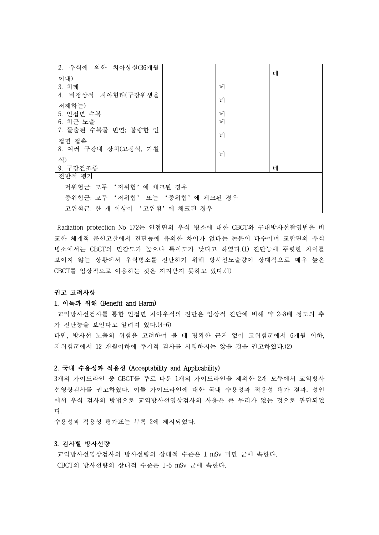| 2. 우식에 의한 치아상실(36개월             |  |   |   |  |  |
|---------------------------------|--|---|---|--|--|
| 이내)                             |  |   | 네 |  |  |
| 3. 치태                           |  | 네 |   |  |  |
| 4. 비정상적 치아형태(구강위생을              |  |   |   |  |  |
| 저해하는)                           |  | 네 |   |  |  |
| 5. 인접면 수복                       |  | 네 |   |  |  |
| 6. 치근 노출                        |  | 네 |   |  |  |
| 7. 돌출된 수복물 변연; 불량한 인            |  |   |   |  |  |
| 접면 접촉                           |  | 네 |   |  |  |
| 8. 여러 구강내 장치(고정식, 가철            |  |   |   |  |  |
| 식)                              |  | 네 |   |  |  |
| 9. 구강건조증                        |  |   | 네 |  |  |
| 전반적 평가                          |  |   |   |  |  |
| 저위험군: 모두 '저위험'에 체크된 경우          |  |   |   |  |  |
| 중위험군: 모두 '저위험' 또는 '중위험'에 체크된 경우 |  |   |   |  |  |
| 고위험군: 한 개 이상이 '고위험'에 체크된 경우     |  |   |   |  |  |

Radiation protection No 172는 인접면의 우식 병소에 대한 CBCT와 구내방사선촬영법을 비 교한 체계적 문헌고찰에서 진단능에 유의한 차이가 없다는 논문이 다수이며 교합면의 우식 병소에서는 CBCT의 민감도가 높으나 특이도가 낮다고 하였다.(1) 진단능에 뚜렷한 차이를 보이지 않는 상황에서 우식병소를 진단하기 위해 방사선노출량이 상대적으로 매우 높은 CBCT를 임상적으로 이용하는 것은 지지받지 못하고 있다.(1)

# 권고 고려사항

#### 1. 이득과 위해 (Benefit and Harm)

교익방사선검사를 통한 인접면 치아우식의 진단은 임상적 진단에 비해 약 2~8배 정도의 추 가 진단능을 보인다고 알려져 있다.(4-6) 다만, 방사선 노출의 위험을 고려하여 볼 때 명확한 근거 없이 고위험군에서 6개월 이하,<br>저위험군에서 12 개월이하에 주기적 검사를 시행하지는 않을 것을 권고하였다.(2)

## 2. 국내 수용성과 적용성 (Acceptability and Applicability)

3개의 가이드라인 중 CBCT를 주로 다룬 1개의 가이드라인을 제외한 2개 모두에서 교익방사 선영상검사를 권고하였다. 이들 가이드라인에 대한 국내 수용성과 적용성 평가 결과, 성인 에서 우식 검사의 방법으로 교익방사선영상검사의 사용은 큰 무리가 없는 것으로 판단되었 다.<br>수용성과 적용성 평가표는 부록 2에 제시되었다.

#### 3. 검사별 방사선량

교익방사선영상검사의 방사선량의 상대적 수준은 1 mSv 미만 군에 속한다. CBCT의 방사선량의 상대적 수준은 1~5 mSv 군에 속한다.